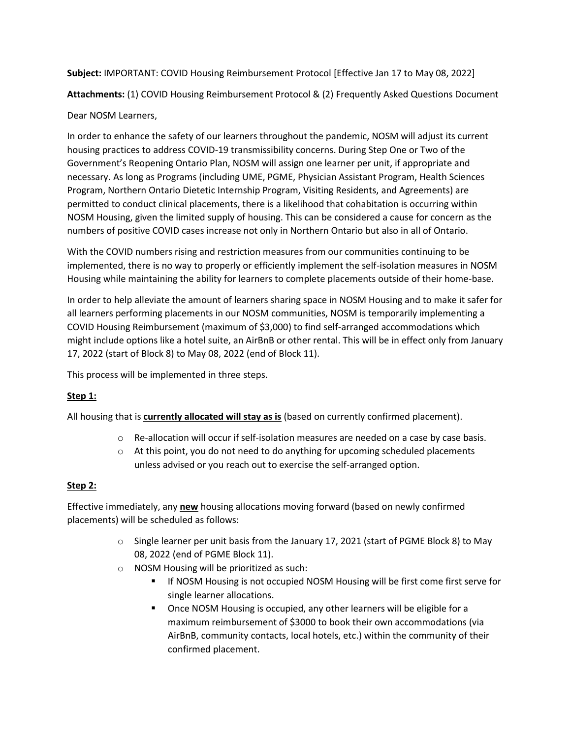**Subject:** IMPORTANT: COVID Housing Reimbursement Protocol [Effective Jan 17 to May 08, 2022]

**Attachments:** (1) COVID Housing Reimbursement Protocol & (2) Frequently Asked Questions Document

# Dear NOSM Learners,

In order to enhance the safety of our learners throughout the pandemic, NOSM will adjust its current housing practices to address COVID-19 transmissibility concerns. During Step One or Two of the Government's Reopening Ontario Plan, NOSM will assign one learner per unit, if appropriate and necessary. As long as Programs (including UME, PGME, Physician Assistant Program, Health Sciences Program, Northern Ontario Dietetic Internship Program, Visiting Residents, and Agreements) are permitted to conduct clinical placements, there is a likelihood that cohabitation is occurring within NOSM Housing, given the limited supply of housing. This can be considered a cause for concern as the numbers of positive COVID cases increase not only in Northern Ontario but also in all of Ontario.

With the COVID numbers rising and restriction measures from our communities continuing to be implemented, there is no way to properly or efficiently implement the self-isolation measures in NOSM Housing while maintaining the ability for learners to complete placements outside of their home-base.

In order to help alleviate the amount of learners sharing space in NOSM Housing and to make it safer for all learners performing placements in our NOSM communities, NOSM is temporarily implementing a COVID Housing Reimbursement (maximum of \$3,000) to find self-arranged accommodations which might include options like a hotel suite, an AirBnB or other rental. This will be in effect only from January 17, 2022 (start of Block 8) to May 08, 2022 (end of Block 11).

This process will be implemented in three steps.

# **Step 1:**

All housing that is **currently allocated will stay as is** (based on currently confirmed placement).

- o Re-allocation will occur if self-isolation measures are needed on a case by case basis.
- $\circ$  At this point, you do not need to do anything for upcoming scheduled placements unless advised or you reach out to exercise the self-arranged option.

## **Step 2:**

Effective immediately, any **new** housing allocations moving forward (based on newly confirmed placements) will be scheduled as follows:

- o Single learner per unit basis from the January 17, 2021 (start of PGME Block 8) to May 08, 2022 (end of PGME Block 11).
- o NOSM Housing will be prioritized as such:
	- **If NOSM Housing is not occupied NOSM Housing will be first come first serve for** single learner allocations.
	- Once NOSM Housing is occupied, any other learners will be eligible for a maximum reimbursement of \$3000 to book their own accommodations (via AirBnB, community contacts, local hotels, etc.) within the community of their confirmed placement.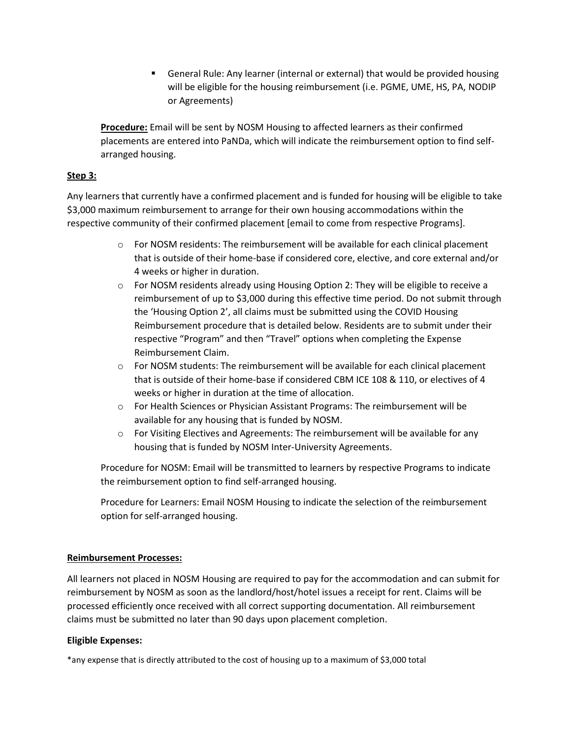General Rule: Any learner (internal or external) that would be provided housing will be eligible for the housing reimbursement (i.e. PGME, UME, HS, PA, NODIP or Agreements)

**Procedure:** Email will be sent by NOSM Housing to affected learners as their confirmed placements are entered into PaNDa, which will indicate the reimbursement option to find selfarranged housing.

### **Step 3:**

Any learners that currently have a confirmed placement and is funded for housing will be eligible to take \$3,000 maximum reimbursement to arrange for their own housing accommodations within the respective community of their confirmed placement [email to come from respective Programs].

- o For NOSM residents: The reimbursement will be available for each clinical placement that is outside of their home-base if considered core, elective, and core external and/or 4 weeks or higher in duration.
- o For NOSM residents already using Housing Option 2: They will be eligible to receive a reimbursement of up to \$3,000 during this effective time period. Do not submit through the 'Housing Option 2', all claims must be submitted using the COVID Housing Reimbursement procedure that is detailed below. Residents are to submit under their respective "Program" and then "Travel" options when completing the Expense Reimbursement Claim.
- $\circ$  For NOSM students: The reimbursement will be available for each clinical placement that is outside of their home-base if considered CBM ICE 108 & 110, or electives of 4 weeks or higher in duration at the time of allocation.
- $\circ$  For Health Sciences or Physician Assistant Programs: The reimbursement will be available for any housing that is funded by NOSM.
- o For Visiting Electives and Agreements: The reimbursement will be available for any housing that is funded by NOSM Inter-University Agreements.

Procedure for NOSM: Email will be transmitted to learners by respective Programs to indicate the reimbursement option to find self-arranged housing.

Procedure for Learners: Email NOSM Housing to indicate the selection of the reimbursement option for self-arranged housing.

### **Reimbursement Processes:**

All learners not placed in NOSM Housing are required to pay for the accommodation and can submit for reimbursement by NOSM as soon as the landlord/host/hotel issues a receipt for rent. Claims will be processed efficiently once received with all correct supporting documentation. All reimbursement claims must be submitted no later than 90 days upon placement completion.

### **Eligible Expenses:**

\*any expense that is directly attributed to the cost of housing up to a maximum of \$3,000 total